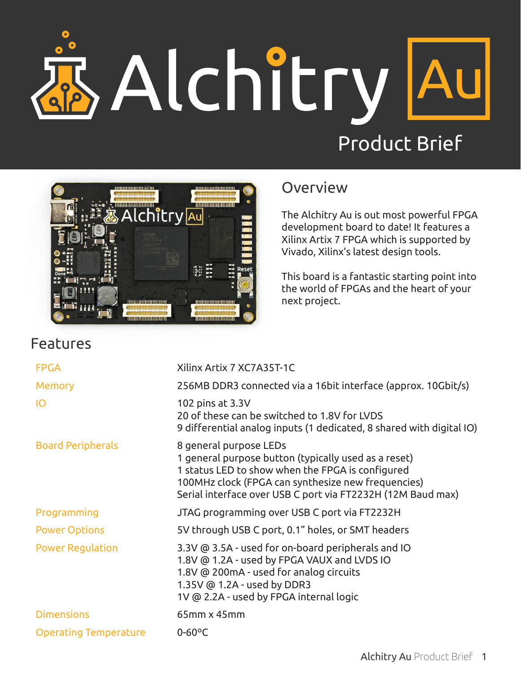## Alchitry A



## **Overview**

The Alchitry Au is out most powerful FPGA development board to date! It features a Xilinx Artix 7 FPGA which is supported by Vivado, Xilinx's latest design tools.

This board is a fantastic starting point into the world of FPGAs and the heart of your next project.

| <b>FPGA</b>                  | Xilinx Artix 7 XC7A35T-1C                                                                                                                                                                                                                               |
|------------------------------|---------------------------------------------------------------------------------------------------------------------------------------------------------------------------------------------------------------------------------------------------------|
| <b>Memory</b>                | 256MB DDR3 connected via a 16bit interface (approx. 10Gbit/s)                                                                                                                                                                                           |
| IO                           | 102 pins at 3.3V<br>20 of these can be switched to 1.8V for LVDS<br>9 differential analog inputs (1 dedicated, 8 shared with digital IO)                                                                                                                |
| <b>Board Peripherals</b>     | 8 general purpose LEDs<br>1 general purpose button (typically used as a reset)<br>1 status LED to show when the FPGA is configured<br>100MHz clock (FPGA can synthesize new frequencies)<br>Serial interface over USB C port via FT2232H (12M Baud max) |
| Programming                  | JTAG programming over USB C port via FT2232H                                                                                                                                                                                                            |
| <b>Power Options</b>         | 5V through USB C port, 0.1" holes, or SMT headers                                                                                                                                                                                                       |
| <b>Power Regulation</b>      | 3.3V @ 3.5A - used for on-board peripherals and IO<br>1.8V @ 1.2A - used by FPGA VAUX and LVDS IO<br>1.8V @ 200mA - used for analog circuits<br>1.35V @ 1.2A - used by DDR3<br>1V @ 2.2A - used by FPGA internal logic                                  |
| <b>Dimensions</b>            | 65mm x 45mm                                                                                                                                                                                                                                             |
| <b>Operating Temperature</b> | $0-60$ °C                                                                                                                                                                                                                                               |
|                              |                                                                                                                                                                                                                                                         |

## Features